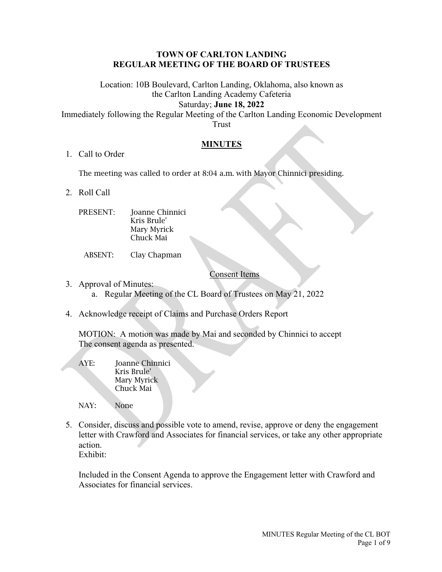### **TOWN OF CARLTON LANDING REGULAR MEETING OF THE BOARD OF TRUSTEES**

Location: 10B Boulevard, Carlton Landing, Oklahoma, also known as the Carlton Landing Academy Cafeteria Saturday; **June 18, 2022**

Immediately following the Regular Meeting of the Carlton Landing Economic Development Trust

## **MINUTES**

1. Call to Order

The meeting was called to order at 8:04 a.m. with Mayor Chinnici presiding.

- 2. Roll Call
	- PRESENT: Joanne Chinnici Kris Brule' Mary Myrick Chuck Mai
		- ABSENT: Clay Chapman

## Consent Items

- 3. Approval of Minutes: a. Regular Meeting of the CL Board of Trustees on May 21, 2022
- 4. Acknowledge receipt of Claims and Purchase Orders Report

MOTION: A motion was made by Mai and seconded by Chinnici to accept The consent agenda as presented.

- AYE: Joanne Chinnici Kris Brule' Mary Myrick Chuck Mai
- NAY: None
- 5. Consider, discuss and possible vote to amend, revise, approve or deny the engagement letter with Crawford and Associates for financial services, or take any other appropriate action. Exhibit:

Included in the Consent Agenda to approve the Engagement letter with Crawford and Associates for financial services.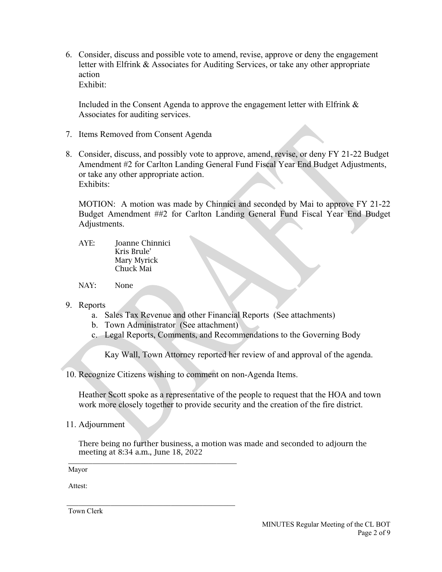6. Consider, discuss and possible vote to amend, revise, approve or deny the engagement letter with Elfrink & Associates for Auditing Services, or take any other appropriate action Exhibit:

Included in the Consent Agenda to approve the engagement letter with Elfrink & Associates for auditing services.

- 7. Items Removed from Consent Agenda
- 8. Consider, discuss, and possibly vote to approve, amend, revise, or deny FY 21-22 Budget Amendment #2 for Carlton Landing General Fund Fiscal Year End Budget Adjustments, or take any other appropriate action. Exhibits:

MOTION: A motion was made by Chinnici and seconded by Mai to approve FY 21-22 Budget Amendment ##2 for Carlton Landing General Fund Fiscal Year End Budget Adjustments.

- AYE: Joanne Chinnici Kris Brule' Mary Myrick Chuck Mai
- NAY: None
- 9. Reports
	- a. Sales Tax Revenue and other Financial Reports (See attachments)
	- b. Town Administrator (See attachment)

\_\_\_\_\_\_\_\_\_\_\_\_\_\_\_\_\_\_\_\_\_\_\_\_\_\_\_\_\_\_\_\_\_\_\_\_\_\_\_\_\_\_

c. Legal Reports, Comments, and Recommendations to the Governing Body

Kay Wall, Town Attorney reported her review of and approval of the agenda.

10. Recognize Citizens wishing to comment on non-Agenda Items.

Heather Scott spoke as a representative of the people to request that the HOA and town work more closely together to provide security and the creation of the fire district.

11. Adjournment

There being no further business, a motion was made and seconded to adjourn the meeting at 8:34 a.m., June 18, 2022

Mayor

Attest:

 \_\_\_\_\_\_\_\_\_\_\_\_\_\_\_\_\_\_\_\_\_\_\_\_\_\_\_\_\_\_\_\_\_\_\_\_\_\_\_\_\_\_ Town Clerk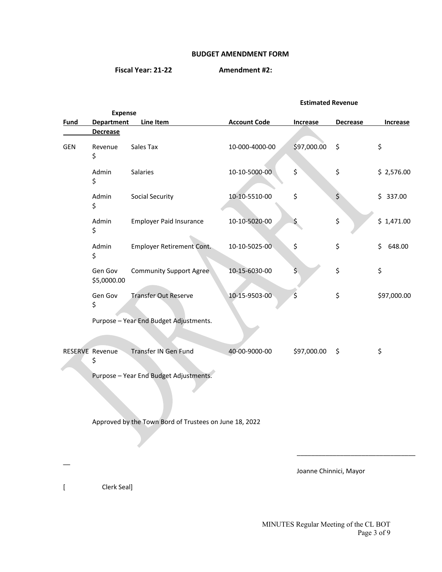#### **BUDGET AMENDMENT FORM**

**Fiscal Year: 21-22 Amendment #2:**

#### **Estimated Revenue**

|             | <b>Expense</b>               |                                                        |                     |                  |                 |              |
|-------------|------------------------------|--------------------------------------------------------|---------------------|------------------|-----------------|--------------|
| <b>Fund</b> | <b>Department</b>            | Line Item                                              | <b>Account Code</b> | <b>Increase</b>  | <b>Decrease</b> | Increase     |
|             | <b>Decrease</b>              |                                                        |                     |                  |                 |              |
| <b>GEN</b>  | Revenue<br>\$                | Sales Tax                                              | 10-000-4000-00      | \$97,000.00      | \$              | \$           |
|             | Admin<br>\$                  | Salaries                                               | 10-10-5000-00       | \$               | \$              | \$2,576.00   |
|             | Admin<br>\$                  | <b>Social Security</b>                                 | 10-10-5510-00       | \$               | \$              | \$337.00     |
|             | Admin<br>\$                  | <b>Employer Paid Insurance</b>                         | 10-10-5020-00       | \$               | \$              | \$1,471.00   |
|             | Admin<br>\$                  | <b>Employer Retirement Cont.</b>                       | 10-10-5025-00       | \$               | \$              | \$<br>648.00 |
|             | Gen Gov<br>\$5,0000.00       | <b>Community Support Agree</b>                         | 10-15-6030-00       | $\overline{\xi}$ | \$              | \$           |
|             | Gen Gov<br>\$                | <b>Transfer Out Reserve</b>                            | 10-15-9503-00       | \$               | \$              | \$97,000.00  |
|             |                              | Purpose - Year End Budget Adjustments.                 |                     |                  |                 |              |
|             |                              |                                                        |                     |                  |                 |              |
|             | <b>RESERVE Revenue</b><br>\$ | Transfer IN Gen Fund                                   | 40-00-9000-00       | \$97,000.00      | $\zeta$         | \$           |
|             |                              | Purpose - Year End Budget Adjustments.                 |                     |                  |                 |              |
|             |                              | Approved by the Town Bord of Trustees on June 18, 2022 |                     |                  |                 |              |
|             |                              |                                                        |                     |                  |                 |              |

Joanne Chinnici, Mayor

[ Clerk Seal]

MINUTES Regular Meeting of the CL BOT Page 3 of 9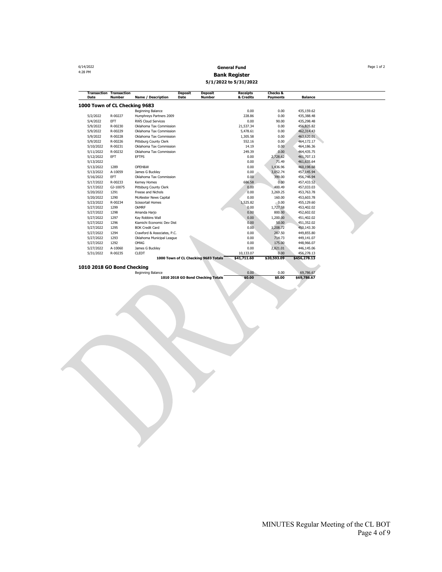| 6/14/2022                     |                                          |                               |                                                    | <b>General Fund</b>          |                                        |                | Page 1 of 2 |
|-------------------------------|------------------------------------------|-------------------------------|----------------------------------------------------|------------------------------|----------------------------------------|----------------|-------------|
| 4:28 PM                       |                                          |                               |                                                    | <b>Bank Register</b>         |                                        |                |             |
|                               |                                          |                               |                                                    | 5/1/2022 to 5/31/2022        |                                        |                |             |
| Date                          | <b>Transaction Transaction</b><br>Number | <b>Name / Description</b>     | <b>Deposit</b><br><b>Deposit</b><br>Number<br>Date | <b>Receipts</b><br>& Credits | <b>Checks &amp;</b><br><b>Payments</b> | <b>Balance</b> |             |
| 1000 Town of CL Checking 9683 |                                          |                               |                                                    |                              |                                        |                |             |
|                               |                                          | Beginning Balance             |                                                    | 0.00                         | 0.00                                   | 435,159.62     |             |
| 5/2/2022                      | R-00227                                  | Humphreys Partners 2009       |                                                    | 228.86                       | 0.00                                   | 435,388.48     |             |
| 5/4/2022                      | EFT                                      | <b>RWS Cloud Services</b>     |                                                    | 0.00                         | 90.00                                  | 435,298.48     |             |
| 5/9/2022                      | R-00230                                  | Oklahoma Tax Commission       |                                                    | 21,537.34                    | 0.00                                   | 456,835.82     |             |
| 5/9/2022                      | R-00229                                  | Oklahoma Tax Commission       |                                                    | 5,478.61                     | 0.00                                   | 462,314.43     |             |
| 5/9/2022                      | R-00228                                  | Oklahoma Tax Commission       |                                                    | 1,305.58                     | 0.00                                   | 463,620.01     |             |
| 5/9/2022                      | R-00226                                  | Pittsburg County Clerk        |                                                    | 552.16                       | 0.00                                   | 464,172.17     |             |
| 5/10/2022                     | R-00231                                  | Oklahoma Tax Commission       |                                                    | 14.19                        | 0.00                                   | 464,186.36     |             |
| 5/11/2022                     | R-00232                                  | Oklahoma Tax Commission       |                                                    | 249.39                       | 0.00                                   | 464,435.75     |             |
| 5/12/2022                     | <b>EFT</b>                               | <b>EFTPS</b>                  |                                                    | 0.00                         | 2,728.62                               | 461,707.13     |             |
| 5/13/2022                     |                                          |                               |                                                    | 0.00                         | 71.49                                  | 461,635.64     |             |
| 5/13/2022                     | 1289                                     | OPEH&W                        |                                                    | 0.00                         | 1,436.96                               | 460,198.68     |             |
| 5/13/2022                     | A-10059                                  | James G Buckley               |                                                    | 0.00                         | 3,052.74                               | 457,145.94     |             |
| 5/16/2022                     | EFT                                      | Oklahoma Tax Commission       |                                                    | 0.00                         | 399.00                                 | 456,746.94     |             |
| 5/17/2022                     | R-00233                                  | Kerney Homes                  |                                                    | 686.58                       | 0.00                                   | 457, 433.52    |             |
| 5/17/2022                     | GJ-10075                                 | Pittsburg County Clerk        |                                                    | 0.00                         | 400.49                                 | 457,033.03     |             |
| 5/20/2022                     | 1291                                     | Freese and Nichols            |                                                    | 0.00                         | 3,269.25                               | 453,763.78     |             |
| 5/20/2022                     | 1290                                     | <b>McAlester News Capital</b> |                                                    | 0.00                         | 160.00                                 | 453,603.78     |             |
| 5/23/2022                     | R-00234                                  | Scissortail Homes             |                                                    | 1,525.82                     | 0.00                                   | 455,129.60     |             |
| 5/27/2022                     | 1299                                     | OkMRF                         |                                                    | 0.00                         | 1,727.58                               | 453,402.02     |             |
| 5/27/2022                     | 1298                                     | Amanda Harjo                  |                                                    | 0.00                         | 800.00                                 | 452,602.02     |             |
| 5/27/2022                     | 1297                                     | Kay Robbins Wall              |                                                    | 0.00                         | 1,200.00                               | 451,402.02     |             |
| 5/27/2022                     | 1296                                     | Kiamichi Economic Dev Dist    |                                                    | 0.00                         | 50.00                                  | 451,352.02     |             |
| 5/27/2022                     | 1295                                     | <b>BOK Credit Card</b>        |                                                    | 0.00                         | 1,208.72                               | 450,143.30     |             |
| 5/27/2022                     | 1294                                     | Crawford & Associates, P.C.   |                                                    | 0.00                         | 287.50                                 | 449,855.80     |             |
| 5/27/2022                     | 1293                                     | Oklahoma Municipal League     |                                                    | 0.00                         | 714.73                                 | 449,141.07     |             |
| 5/27/2022                     | 1292                                     | OMAG                          |                                                    | 0.00                         | 175.00                                 | 448,966.07     |             |
| 5/27/2022                     | A-10060                                  | James G Buckley               |                                                    | 0.00                         | 2,821.01                               | 446,145.06     |             |
| 5/31/2022                     | R-00235                                  | <b>CLEDT</b>                  |                                                    | 10,133.07                    | 0.00                                   | 456,278.13     |             |
|                               |                                          |                               | 1000 Town of CL Checking 9683 Totals               | \$41,711.60                  | \$20,593.09                            | \$456,278.13   |             |
| 1010 2018 GO Bond Checking    |                                          |                               |                                                    |                              |                                        |                |             |
|                               |                                          | Beginning Balance             |                                                    | 0.00                         | 0.00                                   | 69,786.67      |             |
|                               |                                          |                               | 1010 2018 GO Bond Checking Totals                  | \$0.00                       | \$0.00                                 | \$69,786.67    |             |

MINUTES Regular Meeting of the CL BOT Page 4 of 9

4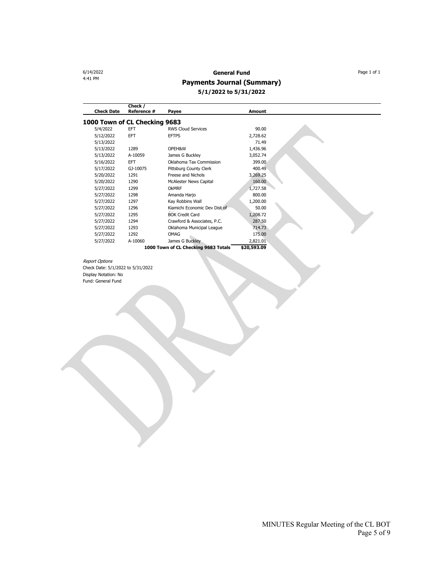## 6/14/2022 **General Fund** Page 1 of 1 **Payments Journal (Summary) 5/1/2022 to 5/31/2022**

| <b>Check Date</b>             | Check /<br>Reference # | Payee                                | <b>Amount</b> |  |
|-------------------------------|------------------------|--------------------------------------|---------------|--|
| 1000 Town of CL Checking 9683 |                        |                                      |               |  |
| 5/4/2022                      | EFT                    | <b>RWS Cloud Services</b>            | 90.00         |  |
| 5/12/2022                     | EFT                    | <b>EFTPS</b>                         | 2,728.62      |  |
| 5/13/2022                     |                        |                                      | 71.49         |  |
| 5/13/2022                     | 1289                   | OPEH&W                               | 1,436.96      |  |
| 5/13/2022                     | A-10059                | James G Buckley                      | 3,052.74      |  |
| 5/16/2022                     | <b>EFT</b>             | Oklahoma Tax Commission              | 399.00        |  |
| 5/17/2022                     | GJ-10075               | Pittsburg County Clerk               | 400.49        |  |
| 5/20/2022                     | 1291                   | Freese and Nichols                   | 3,269.25      |  |
| 5/20/2022                     | 1290                   | McAlester News Capital               | 160.00        |  |
| 5/27/2022                     | 1299                   | OKMRF                                | 1,727.58      |  |
| 5/27/2022                     | 1298                   | Amanda Harjo                         | 800.00        |  |
| 5/27/2022                     | 1297                   | Kay Robbins Wall                     | 1,200.00      |  |
| 5/27/2022                     | 1296                   | Kiamichi Economic Dev Dist of        | 50.00         |  |
| 5/27/2022                     | 1295                   | <b>BOK Credit Card</b>               | 1,208.72      |  |
| 5/27/2022                     | 1294                   | Crawford & Associates, P.C.          | 287.50        |  |
| 5/27/2022                     | 1293                   | Oklahoma Municipal League            | 714.73        |  |
| 5/27/2022                     | 1292                   | OMAG                                 | 175.00        |  |
| 5/27/2022                     | A-10060                | James G Buckley                      | 2,821.01      |  |
|                               |                        | 1000 Town of CL Checking 9683 Totals | \$20,593.09   |  |
|                               |                        |                                      |               |  |

Report Options Check Date: 5/1/2022 to 5/31/2022 Display Notation: No Fund: General Fund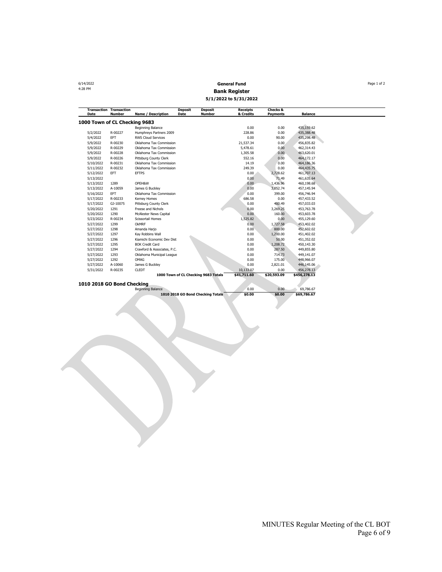**General Fund** Page 1 of 2<br>4:28 PM **Page 1 of 2**<br>**Bank Bosistor Bank Register 5/1/2022 to 5/31/2022**

| <b>Transaction Transaction</b><br>Date | <b>Number</b> | <b>Name / Description</b>     | <b>Deposit</b><br>Date               | <b>Deposit</b><br><b>Number</b> | <b>Receipts</b><br>& Credits | <b>Checks &amp;</b><br><b>Payments</b> | <b>Balance</b> |  |
|----------------------------------------|---------------|-------------------------------|--------------------------------------|---------------------------------|------------------------------|----------------------------------------|----------------|--|
| 1000 Town of CL Checking 9683          |               |                               |                                      |                                 |                              |                                        |                |  |
|                                        |               | Beginning Balance             |                                      |                                 | 0.00                         | 0.00                                   | 435,159.62     |  |
| 5/2/2022                               | R-00227       | Humphreys Partners 2009       |                                      |                                 | 228.86                       | 0.00                                   | 435,388.48     |  |
| 5/4/2022                               | <b>FFT</b>    | <b>RWS Cloud Services</b>     |                                      |                                 | 0.00                         | 90.00                                  | 435,298.48     |  |
| 5/9/2022                               | R-00230       | Oklahoma Tax Commission       |                                      |                                 | 21.537.34                    | 0.00                                   | 456,835.82     |  |
| 5/9/2022                               | R-00229       | Oklahoma Tax Commission       |                                      |                                 | 5,478.61                     | 0.00                                   | 462,314.43     |  |
| 5/9/2022                               | R-00228       | Oklahoma Tax Commission       |                                      |                                 | 1,305.58                     | 0.00                                   | 463,620.01     |  |
| 5/9/2022                               | R-00226       | Pittsburg County Clerk        |                                      |                                 | 552.16                       | 0.00                                   | 464,172.17     |  |
| 5/10/2022                              | R-00231       | Oklahoma Tax Commission       |                                      |                                 | 14.19                        | 0.00                                   | 464,186.36     |  |
| 5/11/2022                              | R-00232       | Oklahoma Tax Commission       |                                      |                                 | 249.39                       | 0.00                                   | 464,435.75     |  |
| 5/12/2022                              | <b>EFT</b>    | <b>EFTPS</b>                  |                                      |                                 | 0.00                         | 2,728.62                               | 461,707.13     |  |
| 5/13/2022                              |               |                               |                                      |                                 | 0.00                         | 71.49                                  | 461,635.64     |  |
| 5/13/2022                              | 1289          | OPEH&W                        |                                      |                                 | 0.00                         | 1,436.96                               | 460,198.68     |  |
| 5/13/2022                              | A-10059       | James G Buckley               |                                      |                                 | 0.00                         | 3,052.74                               | 457,145.94     |  |
| 5/16/2022                              | EFT           | Oklahoma Tax Commission       |                                      |                                 | 0.00                         | 399.00                                 | 456,746.94     |  |
| 5/17/2022                              | R-00233       | Kerney Homes                  |                                      |                                 | 686.58                       | 0.00                                   | 457,433.52     |  |
| 5/17/2022                              | GJ-10075      | Pittsburg County Clerk        |                                      |                                 | 0.00                         | 400.49                                 | 457,033.03     |  |
| 5/20/2022                              | 1291          | Freese and Nichols            |                                      |                                 | 0.00                         | 3.269.25                               | 453,763,78     |  |
| 5/20/2022                              | 1290          | <b>McAlester News Capital</b> |                                      |                                 | 0.00                         | 160.00                                 | 453,603.78     |  |
| 5/23/2022                              | R-00234       | <b>Scissortail Homes</b>      |                                      |                                 | 1,525.82                     | 0.00                                   | 455,129.60     |  |
| 5/27/2022                              | 1299          | OKMRF                         |                                      |                                 | 0.00                         | 1,727.58                               | 453,402.02     |  |
| 5/27/2022                              | 1298          | Amanda Harjo                  |                                      |                                 | 0.00                         | 800.00                                 | 452.602.02     |  |
| 5/27/2022                              | 1297          | Kay Robbins Wall              |                                      |                                 | 0.00                         | 1,200.00                               | 451,402.02     |  |
| 5/27/2022                              | 1296          | Kiamichi Economic Dev Dist    |                                      |                                 | 0.00                         | 50.00                                  | 451,352.02     |  |
| 5/27/2022                              | 1295          | <b>BOK Credit Card</b>        |                                      |                                 | 0.00                         | 1,208.72                               | 450,143.30     |  |
| 5/27/2022                              | 1294          | Crawford & Associates, P.C.   |                                      |                                 | 0.00                         | 287.50                                 | 449,855.80     |  |
| 5/27/2022                              | 1293          | Oklahoma Municipal League     |                                      |                                 | 0.00                         | 714.73                                 | 449.141.07     |  |
| 5/27/2022                              | 1292          | OMAG                          |                                      |                                 | 0.00                         | 175.00                                 | 448,966.07     |  |
| 5/27/2022                              | A-10060       | James G Buckley               |                                      |                                 | 0.00                         | 2,821.01                               | 446,145.06     |  |
| 5/31/2022                              | R-00235       | <b>CLEDT</b>                  |                                      |                                 | 10.133.07                    | 0.00                                   | 456,278.13     |  |
|                                        |               |                               | 1000 Town of CL Checking 9683 Totals |                                 | \$41,711.60                  | \$20,593.09                            | \$456,278.13   |  |

**1010 2018 GO Bond Checking**

| Beginning Balance                 | 0.00   | \$0.00 | 69,786.67   |
|-----------------------------------|--------|--------|-------------|
| 1010 2018 GO Bond Checking Totals | \$0.00 |        | \$69,786.67 |
|                                   |        |        |             |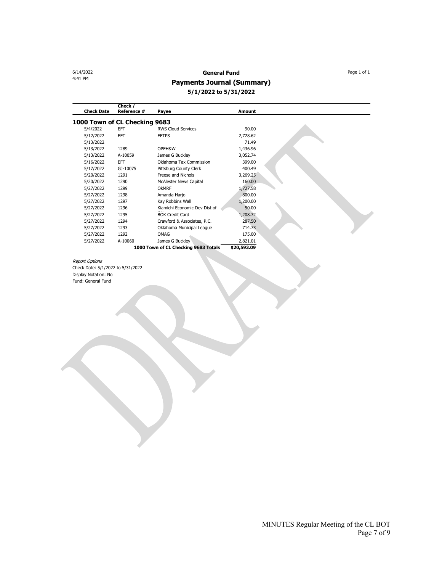# 6/14/2022 **General Fund** Page 1 of 1

## **Payments Journal (Summary)**

**5/1/2022 to 5/31/2022**

| <b>Check Date</b>             | Check /<br>Reference # | Payee                                | <b>Amount</b> |  |
|-------------------------------|------------------------|--------------------------------------|---------------|--|
| 1000 Town of CL Checking 9683 |                        |                                      |               |  |
| 5/4/2022                      | EFT                    | <b>RWS Cloud Services</b>            | 90.00         |  |
| 5/12/2022                     | EFT                    | <b>EFTPS</b>                         | 2,728.62      |  |
| 5/13/2022                     |                        |                                      | 71.49         |  |
| 5/13/2022                     | 1289                   | OPEH&W                               | 1,436.96      |  |
| 5/13/2022                     | A-10059                | James G Buckley                      | 3,052.74      |  |
| 5/16/2022                     | EFT                    | Oklahoma Tax Commission              | 399.00        |  |
| 5/17/2022                     | GJ-10075               | Pittsburg County Clerk               | 400.49        |  |
| 5/20/2022                     | 1291                   | Freese and Nichols                   | 3,269.25      |  |
| 5/20/2022                     | 1290                   | <b>McAlester News Capital</b>        | 160.00        |  |
| 5/27/2022                     | 1299                   | OKMRF                                | 1,727.58      |  |
| 5/27/2022                     | 1298                   | Amanda Harjo                         | 800.00        |  |
| 5/27/2022                     | 1297                   | Kay Robbins Wall                     | 1,200.00      |  |
| 5/27/2022                     | 1296                   | Kiamichi Economic Dev Dist of        | 50.00         |  |
| 5/27/2022                     | 1295                   | <b>BOK Credit Card</b>               | 1,208.72      |  |
| 5/27/2022                     | 1294                   | Crawford & Associates, P.C.          | 287.50        |  |
| 5/27/2022                     | 1293                   | Oklahoma Municipal League            | 714.73        |  |
| 5/27/2022                     | 1292                   | OMAG                                 | 175.00        |  |
| 5/27/2022                     | A-10060                | James G Buckley                      | 2,821.01      |  |
|                               |                        | 1000 Town of CL Checking 9683 Totals | \$20,593.09   |  |

Report Options Check Date: 5/1/2022 to 5/31/2022 Display Notation: No Fund: General Fund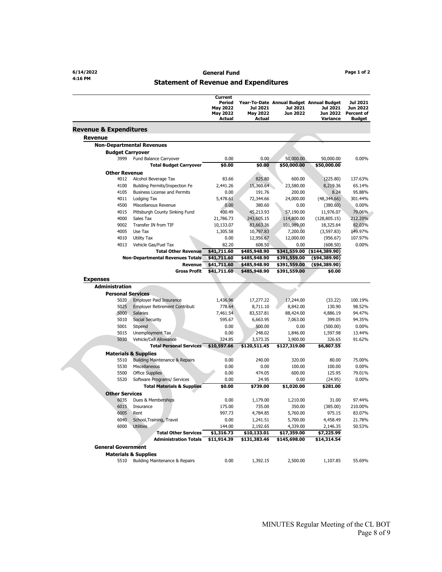#### **4:16 PM Statement of Revenue and Expenditures**

|                                   |                                                    | Current<br>Period<br><b>May 2022</b><br><b>May 2022</b><br>Actual | Jul 2021<br><b>May 2022</b><br>Actual | Jul 2021<br><b>Jun 2022</b> | Year-To-Date Annual Budget Annual Budget<br>Jul 2021<br>Jun 2022<br>Variance | Jul 2021<br>Jun 2022<br><b>Percent of</b><br><b>Budget</b> |
|-----------------------------------|----------------------------------------------------|-------------------------------------------------------------------|---------------------------------------|-----------------------------|------------------------------------------------------------------------------|------------------------------------------------------------|
| <b>Revenue &amp; Expenditures</b> |                                                    |                                                                   |                                       |                             |                                                                              |                                                            |
| <b>Revenue</b>                    |                                                    |                                                                   |                                       |                             |                                                                              |                                                            |
|                                   | <b>Non-Departmental Revenues</b>                   |                                                                   |                                       |                             |                                                                              |                                                            |
| <b>Budget Carryover</b>           |                                                    |                                                                   |                                       |                             |                                                                              |                                                            |
| 3999                              | Fund Balance Carryover                             | 0.00                                                              | 0.00                                  | 50,000.00                   | 50,000.00                                                                    | 0.00%                                                      |
|                                   | <b>Total Budget Carryover</b>                      | \$0.00                                                            | \$0.00                                | \$50,000.00                 | \$50,000.00                                                                  |                                                            |
| <b>Other Revenue</b><br>4012      |                                                    |                                                                   |                                       | 600.00                      |                                                                              |                                                            |
| 4100                              | Alcohol Beverage Tax                               | 83.66                                                             | 825.80                                |                             | (225.80)                                                                     | 137.63%                                                    |
| 4105                              | Building Permits/Inspection Fe                     | 2,441.26                                                          | 15,360.64                             | 23,580.00                   | 8,219.36                                                                     | 65.14%                                                     |
| 4011                              | <b>Business License and Permits</b>                | 0.00                                                              | 191.76                                | 200.00                      | 8.24                                                                         | 95.88%                                                     |
|                                   | Lodging Tax                                        | 5,478.61                                                          | 72,344.66                             | 24,000.00                   | (48, 344.66)                                                                 | 301.44%                                                    |
| 4500                              | Miscellanous Revenue                               | 0.00                                                              | 380.60                                | 0.00                        | (380.60)                                                                     | 0.00%                                                      |
| 4015                              | Pittsburgh County Sinking Fund                     | 400.49                                                            | 45,213.93                             | 57,190.00                   | 11,976.07                                                                    | 79.06%                                                     |
| 4000                              | Sales Tax                                          | 21,786.73                                                         | 243,605.15                            | 114,800.00                  | (128, 805.15)                                                                | 212.20%                                                    |
| 9002<br>4005                      | Transfer IN from TIF<br>Use Tax                    | 10,133.07                                                         | 83,663.36                             | 101,989.00                  | 18,325.64                                                                    | 82.03%                                                     |
|                                   |                                                    | 1,305.58                                                          | 10,797.83                             | 7,200.00                    | (3, 597.83)                                                                  | 149.97%                                                    |
| 4010                              | Utility Tax                                        | 0.00                                                              | 12,956.67                             | 12,000.00                   | (956.67)                                                                     | 107.97%                                                    |
| 4013                              | Vehicle Gas/Fuel Tax<br><b>Total Other Revenue</b> | 82.20                                                             | 608.50                                | 0.00                        | (608.50)                                                                     | 0.00%                                                      |
|                                   |                                                    | \$41,711.60                                                       | \$485,948.90                          | \$341,559.00                | ( \$144, 389.90)                                                             |                                                            |
|                                   | <b>Non-Departmental Revenues Totals</b>            | \$41,711.60                                                       | \$485,948.90                          | \$391,559.00                | ( \$94, 389.90)                                                              |                                                            |
|                                   | Revenue                                            | \$41,711.60                                                       | \$485,948.90                          | \$391,559.00                | ( \$94, 389.90)                                                              |                                                            |
|                                   | <b>Gross Profit</b>                                | \$41,711.60                                                       | \$485,948.90                          | \$391,559.00                | \$0.00                                                                       |                                                            |
| <b>Expenses</b>                   |                                                    |                                                                   |                                       |                             |                                                                              |                                                            |
| <b>Administration</b>             |                                                    |                                                                   |                                       |                             |                                                                              |                                                            |
| <b>Personal Services</b>          |                                                    |                                                                   |                                       |                             |                                                                              |                                                            |
| 5020                              | <b>Employer Paid Insurance</b>                     | 1,436.96                                                          | 17,277.22                             | 17,244.00                   | (33.22)                                                                      | 100.19%                                                    |
| 5025                              | <b>Employer Retirement Contributi</b>              | 778.64                                                            | 8,711.10                              | 8,842.00                    | 130.90                                                                       | 98.52%                                                     |
| 5000                              | <b>Salaries</b>                                    | 7,461.54                                                          | 83,537.81                             | 88,424.00                   | 4,886.19                                                                     | 94.47%                                                     |
| 5010                              | <b>Social Security</b>                             | 595.67                                                            | 6,663.95                              | 7,063.00                    | 399.05                                                                       | 94.35%                                                     |
| 5001                              | Stipend                                            | 0.00                                                              | 500.00                                | 0.00                        | (500.00)                                                                     | 0.00%                                                      |
| 5015                              | Unemployment Tax                                   | 0.00                                                              | 248.02                                | 1,846.00                    | 1,597.98                                                                     | 13.44%                                                     |
| 5030                              | Vehicle/Cell Allowance                             | 324.85                                                            | 3,573.35                              | 3,900.00                    | 326.65                                                                       | 91.62%                                                     |
|                                   | <b>Total Personal Services</b>                     | \$10,597.66                                                       | \$120,511.45                          | \$127,319.00                | \$6,807.55                                                                   |                                                            |
|                                   | <b>Materials &amp; Supplies</b>                    |                                                                   |                                       |                             |                                                                              |                                                            |
| 5510                              | <b>Building Maintenance &amp; Repairs</b>          | 0.00                                                              | 240.00                                | 320.00                      | 80.00                                                                        | 75.00%                                                     |
| 5530                              | Miscellaneous                                      | 0.00                                                              | 0.00                                  | 100.00                      | 100.00                                                                       | 0.00%                                                      |
| 5500                              | <b>Office Supplies</b>                             | 0.00                                                              | 474.05                                | 600.00                      | 125.95                                                                       | 79.01%                                                     |
| 5520                              | Software Programs/ Services                        | 0.00                                                              | 24.95                                 | 0.00                        | (24.95)                                                                      | 0.00%                                                      |
|                                   | <b>Total Materials &amp; Supplies</b>              | \$0.00                                                            | \$739.00                              | \$1,020.00                  | \$281.00                                                                     |                                                            |
| <b>Other Services</b>             |                                                    |                                                                   |                                       |                             |                                                                              |                                                            |
| 6035                              | Dues & Memberships                                 | 0.00                                                              | 1,179.00                              | 1,210.00                    | 31.00                                                                        | 97.44%                                                     |
| 6015                              | Insurance                                          | 175.00                                                            | 735.00                                | 350.00                      | (385.00)                                                                     | 210.00%                                                    |
| 6005                              | Rent                                               | 997.73                                                            | 4,784.85                              | 5,760.00                    | 975.15                                                                       | 83.07%                                                     |
| 6040                              | School, Training, Travel                           | 0.00                                                              | 1,241.51                              | 5,700.00                    | 4,458.49                                                                     | 21.78%                                                     |
| 6000                              | <b>Utilities</b>                                   | 144.00                                                            | 2,192.65                              | 4,339.00                    | 2,146.35                                                                     | 50.53%                                                     |
|                                   | <b>Total Other Services</b>                        | \$1,316.73                                                        | \$10,133.01                           | \$17,359.00                 | \$7,225.99                                                                   |                                                            |
|                                   | <b>Administration Totals</b>                       | \$11,914.39                                                       | \$131,383.46                          | \$145,698.00                | \$14,314.54                                                                  |                                                            |
| <b>General Government</b>         |                                                    |                                                                   |                                       |                             |                                                                              |                                                            |
|                                   |                                                    |                                                                   |                                       |                             |                                                                              |                                                            |
|                                   | <b>Materials &amp; Supplies</b>                    | 0.00                                                              |                                       |                             |                                                                              | 55.69%                                                     |
| 5510                              | Building Maintenance & Repairs                     |                                                                   | 1,392.15                              | 2,500.00                    | 1,107.85                                                                     |                                                            |